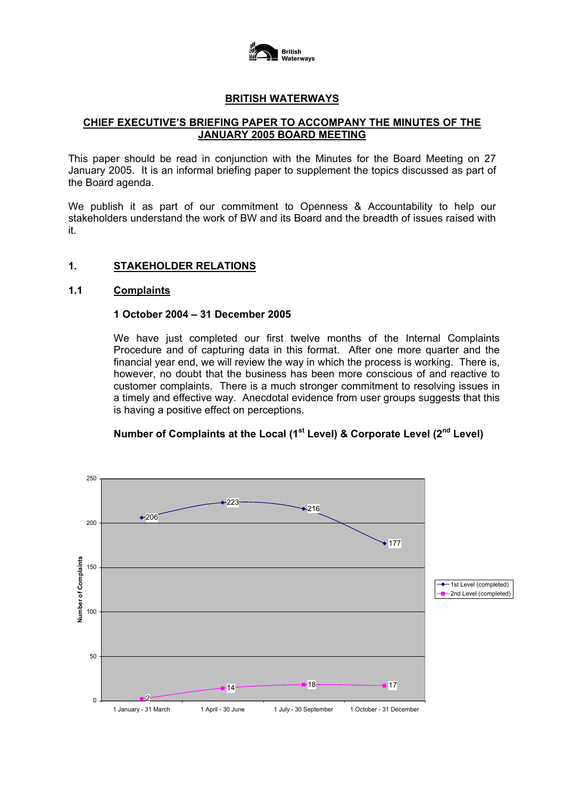

### **BRITISH WATERWAYS**

### **CHIEF EXECUTIVE'S BRIEFING PAPER TO ACCOMPANY THE MINUTES OF THE JANUARY 2005 BOARD MEETING**

This paper should be read in conjunction with the Minutes for the Board Meeting on 27 January 2005. It is an informal briefing paper to supplement the topics discussed as part of the Board agenda.

We publish it as part of our commitment to Openness & Accountability to help our stakeholders understand the work of BW and its Board and the breadth of issues raised with it.

## **1. STAKEHOLDER RELATIONS**

### **1.1 Complaints**

#### **1 October 2004 – 31 December 2005**

We have just completed our first twelve months of the Internal Complaints Procedure and of capturing data in this format. After one more quarter and the financial year end, we will review the way in which the process is working. There is, however, no doubt that the business has been more conscious of and reactive to customer complaints. There is a much stronger commitment to resolving issues in a timely and effective way. Anecdotal evidence from user groups suggests that this is having a positive effect on perceptions.

## **Number of Complaints at the Local (1st Level) & Corporate Level (2nd Level)**

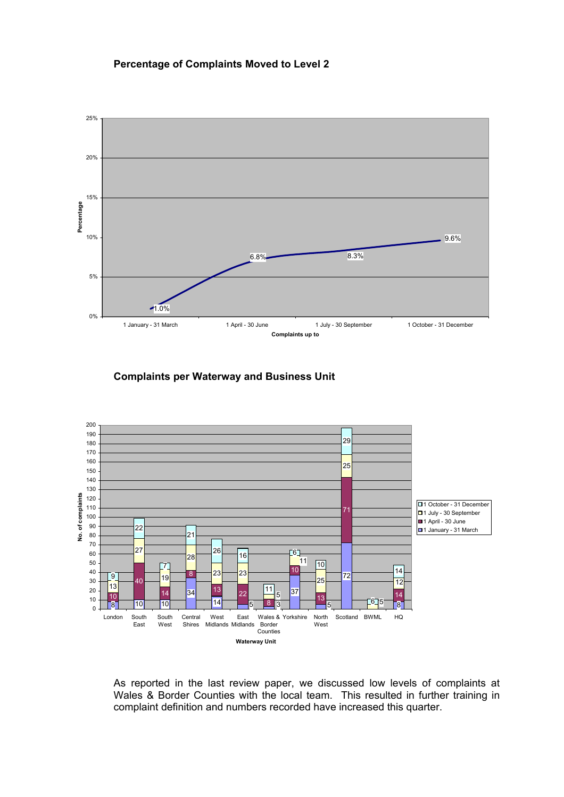#### **Percentage of Complaints Moved to Level 2**



**Complaints per Waterway and Business Unit**



 As reported in the last review paper, we discussed low levels of complaints at Wales & Border Counties with the local team. This resulted in further training in complaint definition and numbers recorded have increased this quarter.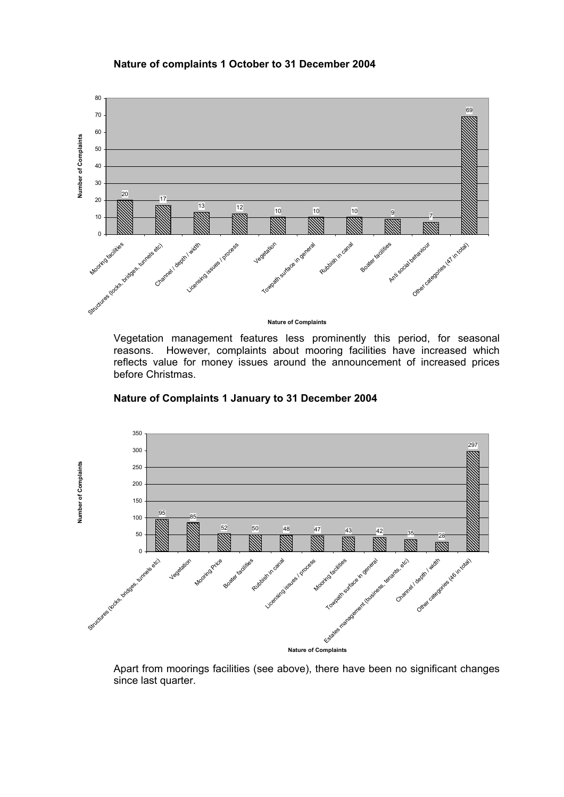#### **Nature of complaints 1 October to 31 December 2004**



 Vegetation management features less prominently this period, for seasonal reasons. However, complaints about mooring facilities have increased which reflects value for money issues around the announcement of increased prices

**Nature of Complaints 1 January to 31 December 2004** 

before Christmas.



 Apart from moorings facilities (see above), there have been no significant changes since last quarter.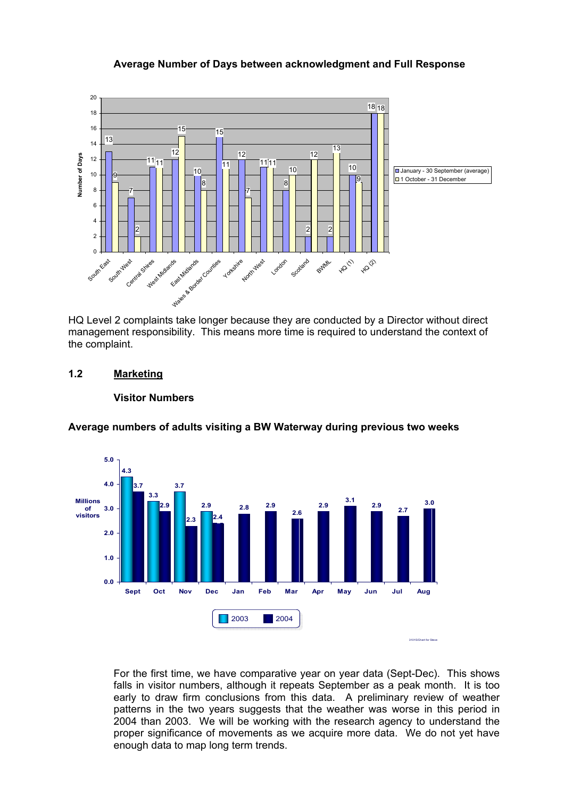#### **Average Number of Days between acknowledgment and Full Response**



HQ Level 2 complaints take longer because they are conducted by a Director without direct management responsibility. This means more time is required to understand the context of the complaint.

### **1.2 Marketing**

#### **Visitor Numbers**



**Average numbers of adults visiting a BW Waterway during previous two weeks** 

 For the first time, we have comparative year on year data (Sept-Dec). This shows falls in visitor numbers, although it repeats September as a peak month. It is too early to draw firm conclusions from this data. A preliminary review of weather patterns in the two years suggests that the weather was worse in this period in 2004 than 2003. We will be working with the research agency to understand the proper significance of movements as we acquire more data. We do not yet have enough data to map long term trends.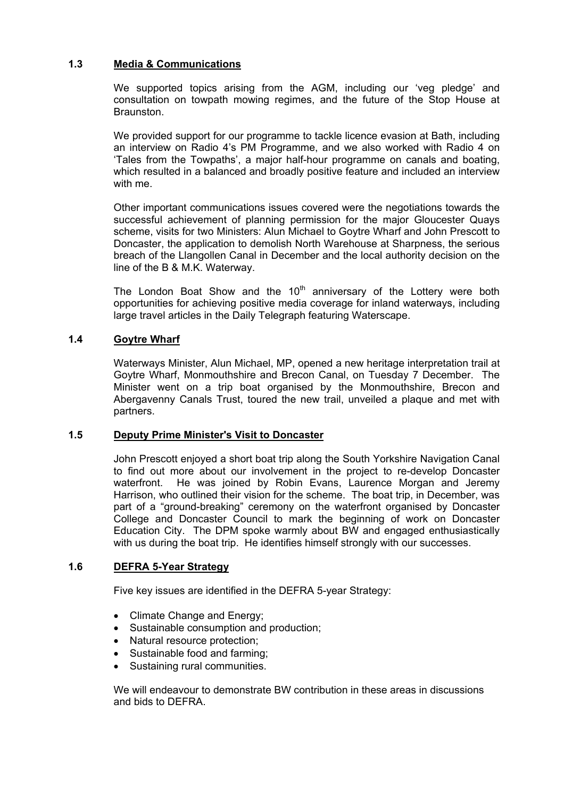## **1.3 Media & Communications**

 We supported topics arising from the AGM, including our 'veg pledge' and consultation on towpath mowing regimes, and the future of the Stop House at Braunston.

 We provided support for our programme to tackle licence evasion at Bath, including an interview on Radio 4's PM Programme, and we also worked with Radio 4 on 'Tales from the Towpaths', a major half-hour programme on canals and boating, which resulted in a balanced and broadly positive feature and included an interview with me.

 Other important communications issues covered were the negotiations towards the successful achievement of planning permission for the major Gloucester Quays scheme, visits for two Ministers: Alun Michael to Goytre Wharf and John Prescott to Doncaster, the application to demolish North Warehouse at Sharpness, the serious breach of the Llangollen Canal in December and the local authority decision on the line of the B & M.K. Waterway.

The London Boat Show and the  $10<sup>th</sup>$  anniversary of the Lottery were both opportunities for achieving positive media coverage for inland waterways, including large travel articles in the Daily Telegraph featuring Waterscape.

## **1.4 Goytre Wharf**

 Waterways Minister, Alun Michael, MP, opened a new heritage interpretation trail at Goytre Wharf, Monmouthshire and Brecon Canal, on Tuesday 7 December. The Minister went on a trip boat organised by the Monmouthshire, Brecon and Abergavenny Canals Trust, toured the new trail, unveiled a plaque and met with partners.

### **1.5 Deputy Prime Minister's Visit to Doncaster**

 John Prescott enjoyed a short boat trip along the South Yorkshire Navigation Canal to find out more about our involvement in the project to re-develop Doncaster waterfront. He was joined by Robin Evans, Laurence Morgan and Jeremy Harrison, who outlined their vision for the scheme. The boat trip, in December, was part of a "ground-breaking" ceremony on the waterfront organised by Doncaster College and Doncaster Council to mark the beginning of work on Doncaster Education City. The DPM spoke warmly about BW and engaged enthusiastically with us during the boat trip. He identifies himself strongly with our successes.

### **1.6 DEFRA 5-Year Strategy**

Five key issues are identified in the DEFRA 5-year Strategy:

- Climate Change and Energy;
- Sustainable consumption and production;
- Natural resource protection;
- Sustainable food and farming;
- Sustaining rural communities.

We will endeavour to demonstrate BW contribution in these areas in discussions and bids to DFFRA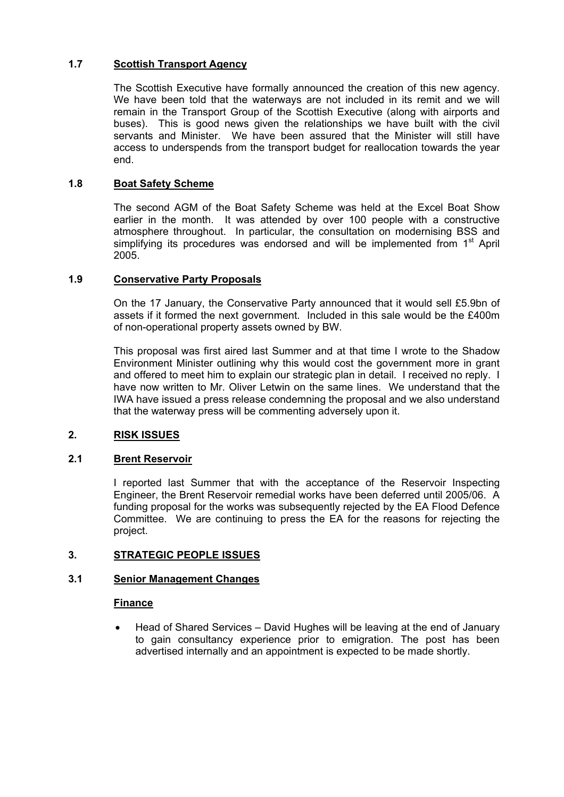# **1.7 Scottish Transport Agency**

The Scottish Executive have formally announced the creation of this new agency. We have been told that the waterways are not included in its remit and we will remain in the Transport Group of the Scottish Executive (along with airports and buses). This is good news given the relationships we have built with the civil servants and Minister. We have been assured that the Minister will still have access to underspends from the transport budget for reallocation towards the year end.

### **1.8 Boat Safety Scheme**

The second AGM of the Boat Safety Scheme was held at the Excel Boat Show earlier in the month. It was attended by over 100 people with a constructive atmosphere throughout. In particular, the consultation on modernising BSS and simplifying its procedures was endorsed and will be implemented from 1<sup>st</sup> April 2005.

## **1.9 Conservative Party Proposals**

On the 17 January, the Conservative Party announced that it would sell £5.9bn of assets if it formed the next government. Included in this sale would be the £400m of non-operational property assets owned by BW.

This proposal was first aired last Summer and at that time I wrote to the Shadow Environment Minister outlining why this would cost the government more in grant and offered to meet him to explain our strategic plan in detail. I received no reply. I have now written to Mr. Oliver Letwin on the same lines. We understand that the IWA have issued a press release condemning the proposal and we also understand that the waterway press will be commenting adversely upon it.

# **2. RISK ISSUES**

### **2.1 Brent Reservoir**

I reported last Summer that with the acceptance of the Reservoir Inspecting Engineer, the Brent Reservoir remedial works have been deferred until 2005/06. A funding proposal for the works was subsequently rejected by the EA Flood Defence Committee. We are continuing to press the EA for the reasons for rejecting the project.

### **3. STRATEGIC PEOPLE ISSUES**

### **3.1 Senior Management Changes**

### **Finance**

• Head of Shared Services – David Hughes will be leaving at the end of January to gain consultancy experience prior to emigration. The post has been advertised internally and an appointment is expected to be made shortly.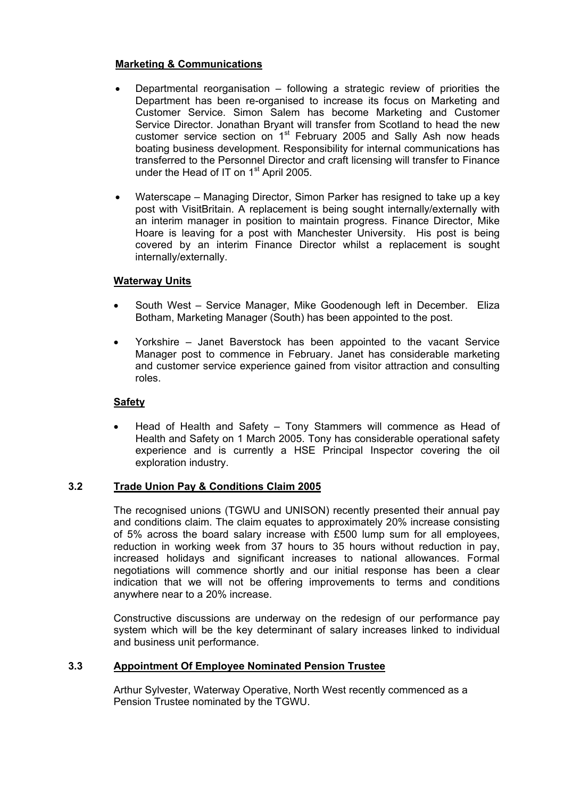## **Marketing & Communications**

- Departmental reorganisation  $-$  following a strategic review of priorities the Department has been re-organised to increase its focus on Marketing and Customer Service. Simon Salem has become Marketing and Customer Service Director. Jonathan Bryant will transfer from Scotland to head the new customer service section on  $1<sup>st</sup>$  February 2005 and Sally Ash now heads boating business development. Responsibility for internal communications has transferred to the Personnel Director and craft licensing will transfer to Finance under the Head of IT on 1<sup>st</sup> April 2005.
- Waterscape Managing Director, Simon Parker has resigned to take up a key post with VisitBritain. A replacement is being sought internally/externally with an interim manager in position to maintain progress. Finance Director, Mike Hoare is leaving for a post with Manchester University. His post is being covered by an interim Finance Director whilst a replacement is sought internally/externally.

### **Waterway Units**

- South West Service Manager, Mike Goodenough left in December. Eliza Botham, Marketing Manager (South) has been appointed to the post.
- Yorkshire Janet Baverstock has been appointed to the vacant Service Manager post to commence in February. Janet has considerable marketing and customer service experience gained from visitor attraction and consulting roles.

# **Safety**

• Head of Health and Safety – Tony Stammers will commence as Head of Health and Safety on 1 March 2005. Tony has considerable operational safety experience and is currently a HSE Principal Inspector covering the oil exploration industry.

### **3.2 Trade Union Pay & Conditions Claim 2005**

The recognised unions (TGWU and UNISON) recently presented their annual pay and conditions claim. The claim equates to approximately 20% increase consisting of 5% across the board salary increase with £500 lump sum for all employees, reduction in working week from 37 hours to 35 hours without reduction in pay, increased holidays and significant increases to national allowances. Formal negotiations will commence shortly and our initial response has been a clear indication that we will not be offering improvements to terms and conditions anywhere near to a 20% increase.

Constructive discussions are underway on the redesign of our performance pay system which will be the key determinant of salary increases linked to individual and business unit performance.

### **3.3 Appointment Of Employee Nominated Pension Trustee**

Arthur Sylvester, Waterway Operative, North West recently commenced as a Pension Trustee nominated by the TGWU.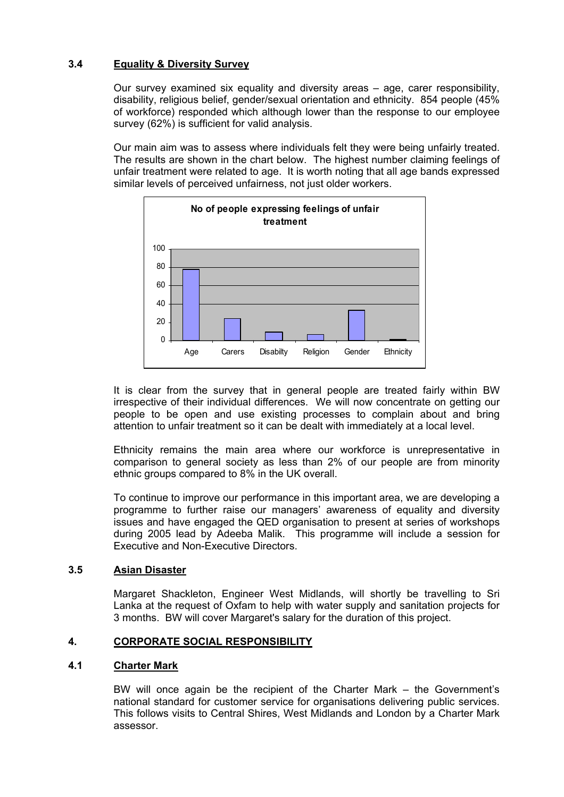# **3.4 Equality & Diversity Survey**

 Our survey examined six equality and diversity areas – age, carer responsibility, disability, religious belief, gender/sexual orientation and ethnicity. 854 people (45% of workforce) responded which although lower than the response to our employee survey (62%) is sufficient for valid analysis.

 Our main aim was to assess where individuals felt they were being unfairly treated. The results are shown in the chart below. The highest number claiming feelings of unfair treatment were related to age. It is worth noting that all age bands expressed similar levels of perceived unfairness, not just older workers.



 It is clear from the survey that in general people are treated fairly within BW irrespective of their individual differences. We will now concentrate on getting our people to be open and use existing processes to complain about and bring attention to unfair treatment so it can be dealt with immediately at a local level.

 Ethnicity remains the main area where our workforce is unrepresentative in comparison to general society as less than 2% of our people are from minority ethnic groups compared to 8% in the UK overall.

 To continue to improve our performance in this important area, we are developing a programme to further raise our managers' awareness of equality and diversity issues and have engaged the QED organisation to present at series of workshops during 2005 lead by Adeeba Malik. This programme will include a session for Executive and Non-Executive Directors.

# **3.5 Asian Disaster**

Margaret Shackleton, Engineer West Midlands, will shortly be travelling to Sri Lanka at the request of Oxfam to help with water supply and sanitation projects for 3 months. BW will cover Margaret's salary for the duration of this project.

### **4. CORPORATE SOCIAL RESPONSIBILITY**

### **4.1 Charter Mark**

BW will once again be the recipient of the Charter Mark – the Government's national standard for customer service for organisations delivering public services. This follows visits to Central Shires, West Midlands and London by a Charter Mark assessor.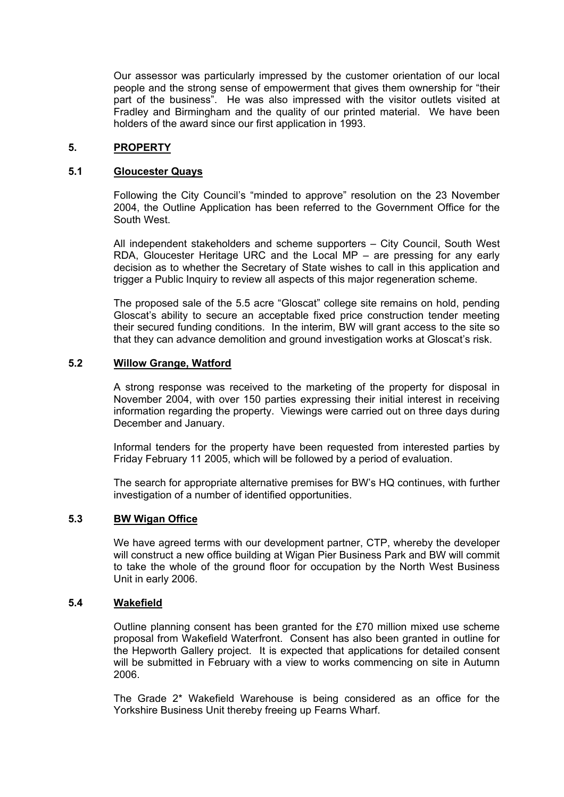Our assessor was particularly impressed by the customer orientation of our local people and the strong sense of empowerment that gives them ownership for "their part of the business". He was also impressed with the visitor outlets visited at Fradley and Birmingham and the quality of our printed material. We have been holders of the award since our first application in 1993.

#### **5. PROPERTY**

#### **5.1 Gloucester Quays**

Following the City Council's "minded to approve" resolution on the 23 November 2004, the Outline Application has been referred to the Government Office for the South West.

All independent stakeholders and scheme supporters – City Council, South West RDA, Gloucester Heritage URC and the Local MP – are pressing for any early decision as to whether the Secretary of State wishes to call in this application and trigger a Public Inquiry to review all aspects of this major regeneration scheme.

The proposed sale of the 5.5 acre "Gloscat" college site remains on hold, pending Gloscat's ability to secure an acceptable fixed price construction tender meeting their secured funding conditions. In the interim, BW will grant access to the site so that they can advance demolition and ground investigation works at Gloscat's risk.

#### **5.2 Willow Grange, Watford**

A strong response was received to the marketing of the property for disposal in November 2004, with over 150 parties expressing their initial interest in receiving information regarding the property. Viewings were carried out on three days during December and January.

Informal tenders for the property have been requested from interested parties by Friday February 11 2005, which will be followed by a period of evaluation.

The search for appropriate alternative premises for BW's HQ continues, with further investigation of a number of identified opportunities.

### **5.3 BW Wigan Office**

We have agreed terms with our development partner, CTP, whereby the developer will construct a new office building at Wigan Pier Business Park and BW will commit to take the whole of the ground floor for occupation by the North West Business Unit in early 2006.

#### **5.4 Wakefield**

Outline planning consent has been granted for the £70 million mixed use scheme proposal from Wakefield Waterfront. Consent has also been granted in outline for the Hepworth Gallery project. It is expected that applications for detailed consent will be submitted in February with a view to works commencing on site in Autumn 2006.

The Grade 2\* Wakefield Warehouse is being considered as an office for the Yorkshire Business Unit thereby freeing up Fearns Wharf.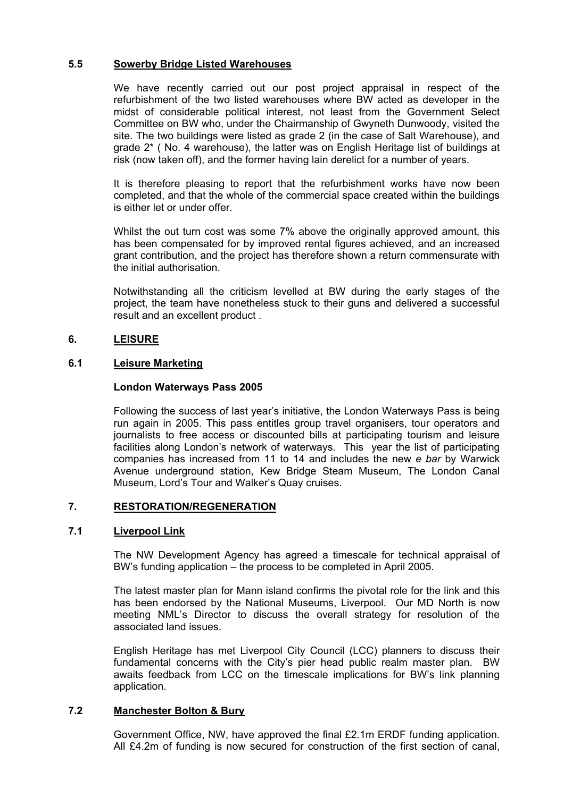### **5.5 Sowerby Bridge Listed Warehouses**

We have recently carried out our post project appraisal in respect of the refurbishment of the two listed warehouses where BW acted as developer in the midst of considerable political interest, not least from the Government Select Committee on BW who, under the Chairmanship of Gwyneth Dunwoody, visited the site. The two buildings were listed as grade 2 (in the case of Salt Warehouse), and grade 2\* ( No. 4 warehouse), the latter was on English Heritage list of buildings at risk (now taken off), and the former having lain derelict for a number of years.

 It is therefore pleasing to report that the refurbishment works have now been completed, and that the whole of the commercial space created within the buildings is either let or under offer.

Whilst the out turn cost was some 7% above the originally approved amount, this has been compensated for by improved rental figures achieved, and an increased grant contribution, and the project has therefore shown a return commensurate with the initial authorisation.

 Notwithstanding all the criticism levelled at BW during the early stages of the project, the team have nonetheless stuck to their guns and delivered a successful result and an excellent product .

## **6. LEISURE**

### **6.1 Leisure Marketing**

### **London Waterways Pass 2005**

Following the success of last year's initiative, the London Waterways Pass is being run again in 2005. This pass entitles group travel organisers, tour operators and journalists to free access or discounted bills at participating tourism and leisure facilities along London's network of waterways. This year the list of participating companies has increased from 11 to 14 and includes the new *e bar* by Warwick Avenue underground station, Kew Bridge Steam Museum, The London Canal Museum, Lord's Tour and Walker's Quay cruises.

# **7. RESTORATION/REGENERATION**

### **7.1 Liverpool Link**

The NW Development Agency has agreed a timescale for technical appraisal of BW's funding application – the process to be completed in April 2005.

The latest master plan for Mann island confirms the pivotal role for the link and this has been endorsed by the National Museums, Liverpool. Our MD North is now meeting NML's Director to discuss the overall strategy for resolution of the associated land issues.

English Heritage has met Liverpool City Council (LCC) planners to discuss their fundamental concerns with the City's pier head public realm master plan. BW awaits feedback from LCC on the timescale implications for BW's link planning application.

## **7.2 Manchester Bolton & Bury**

Government Office, NW, have approved the final £2.1m ERDF funding application. All £4.2m of funding is now secured for construction of the first section of canal,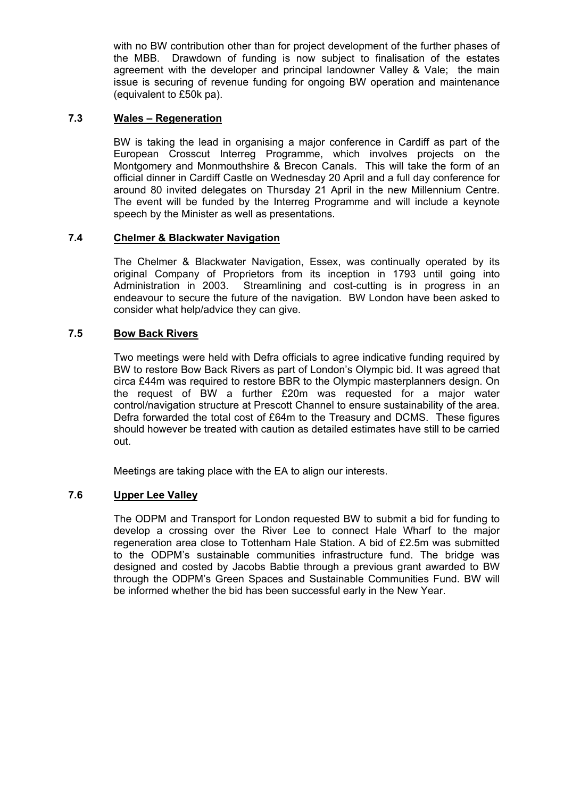with no BW contribution other than for project development of the further phases of the MBB. Drawdown of funding is now subject to finalisation of the estates agreement with the developer and principal landowner Valley & Vale; the main issue is securing of revenue funding for ongoing BW operation and maintenance (equivalent to £50k pa).

## **7.3 Wales – Regeneration**

BW is taking the lead in organising a major conference in Cardiff as part of the European Crosscut Interreg Programme, which involves projects on the Montgomery and Monmouthshire & Brecon Canals. This will take the form of an official dinner in Cardiff Castle on Wednesday 20 April and a full day conference for around 80 invited delegates on Thursday 21 April in the new Millennium Centre. The event will be funded by the Interreg Programme and will include a keynote speech by the Minister as well as presentations.

## **7.4 Chelmer & Blackwater Navigation**

The Chelmer & Blackwater Navigation, Essex, was continually operated by its original Company of Proprietors from its inception in 1793 until going into Administration in 2003. Streamlining and cost-cutting is in progress in an endeavour to secure the future of the navigation. BW London have been asked to consider what help/advice they can give.

### **7.5 Bow Back Rivers**

Two meetings were held with Defra officials to agree indicative funding required by BW to restore Bow Back Rivers as part of London's Olympic bid. It was agreed that circa £44m was required to restore BBR to the Olympic masterplanners design. On the request of BW a further £20m was requested for a major water control/navigation structure at Prescott Channel to ensure sustainability of the area. Defra forwarded the total cost of £64m to the Treasury and DCMS. These figures should however be treated with caution as detailed estimates have still to be carried out.

Meetings are taking place with the EA to align our interests.

# **7.6 Upper Lee Valley**

The ODPM and Transport for London requested BW to submit a bid for funding to develop a crossing over the River Lee to connect Hale Wharf to the major regeneration area close to Tottenham Hale Station. A bid of £2.5m was submitted to the ODPM's sustainable communities infrastructure fund. The bridge was designed and costed by Jacobs Babtie through a previous grant awarded to BW through the ODPM's Green Spaces and Sustainable Communities Fund. BW will be informed whether the bid has been successful early in the New Year.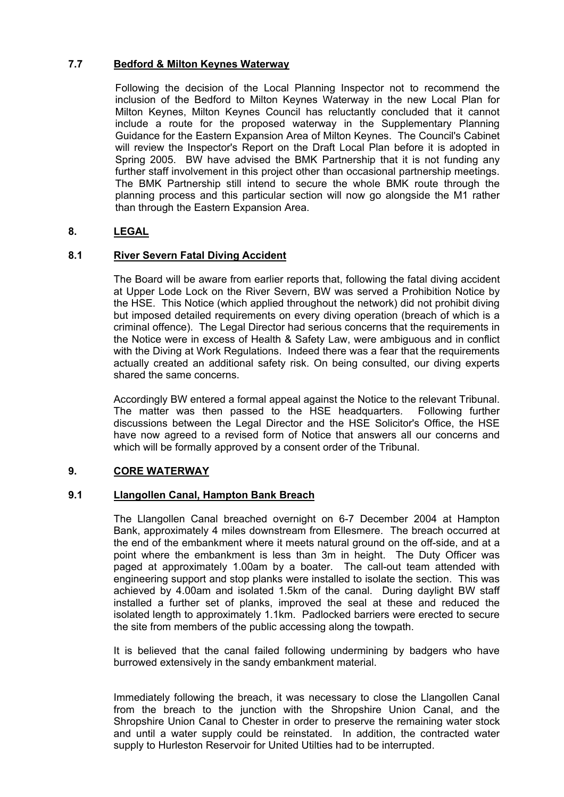## **7.7 Bedford & Milton Keynes Waterway**

Following the decision of the Local Planning Inspector not to recommend the inclusion of the Bedford to Milton Keynes Waterway in the new Local Plan for Milton Keynes, Milton Keynes Council has reluctantly concluded that it cannot include a route for the proposed waterway in the Supplementary Planning Guidance for the Eastern Expansion Area of Milton Keynes. The Council's Cabinet will review the Inspector's Report on the Draft Local Plan before it is adopted in Spring 2005. BW have advised the BMK Partnership that it is not funding any further staff involvement in this project other than occasional partnership meetings. The BMK Partnership still intend to secure the whole BMK route through the planning process and this particular section will now go alongside the M1 rather than through the Eastern Expansion Area.

## **8. LEGAL**

## **8.1 River Severn Fatal Diving Accident**

The Board will be aware from earlier reports that, following the fatal diving accident at Upper Lode Lock on the River Severn, BW was served a Prohibition Notice by the HSE. This Notice (which applied throughout the network) did not prohibit diving but imposed detailed requirements on every diving operation (breach of which is a criminal offence). The Legal Director had serious concerns that the requirements in the Notice were in excess of Health & Safety Law, were ambiguous and in conflict with the Diving at Work Regulations. Indeed there was a fear that the requirements actually created an additional safety risk. On being consulted, our diving experts shared the same concerns.

Accordingly BW entered a formal appeal against the Notice to the relevant Tribunal. The matter was then passed to the HSE headquarters. Following further discussions between the Legal Director and the HSE Solicitor's Office, the HSE have now agreed to a revised form of Notice that answers all our concerns and which will be formally approved by a consent order of the Tribunal.

### **9. CORE WATERWAY**

### **9.1 Llangollen Canal, Hampton Bank Breach**

The Llangollen Canal breached overnight on 6-7 December 2004 at Hampton Bank, approximately 4 miles downstream from Ellesmere. The breach occurred at the end of the embankment where it meets natural ground on the off-side, and at a point where the embankment is less than 3m in height. The Duty Officer was paged at approximately 1.00am by a boater. The call-out team attended with engineering support and stop planks were installed to isolate the section. This was achieved by 4.00am and isolated 1.5km of the canal. During daylight BW staff installed a further set of planks, improved the seal at these and reduced the isolated length to approximately 1.1km. Padlocked barriers were erected to secure the site from members of the public accessing along the towpath.

It is believed that the canal failed following undermining by badgers who have burrowed extensively in the sandy embankment material.

Immediately following the breach, it was necessary to close the Llangollen Canal from the breach to the junction with the Shropshire Union Canal, and the Shropshire Union Canal to Chester in order to preserve the remaining water stock and until a water supply could be reinstated. In addition, the contracted water supply to Hurleston Reservoir for United Utilties had to be interrupted.